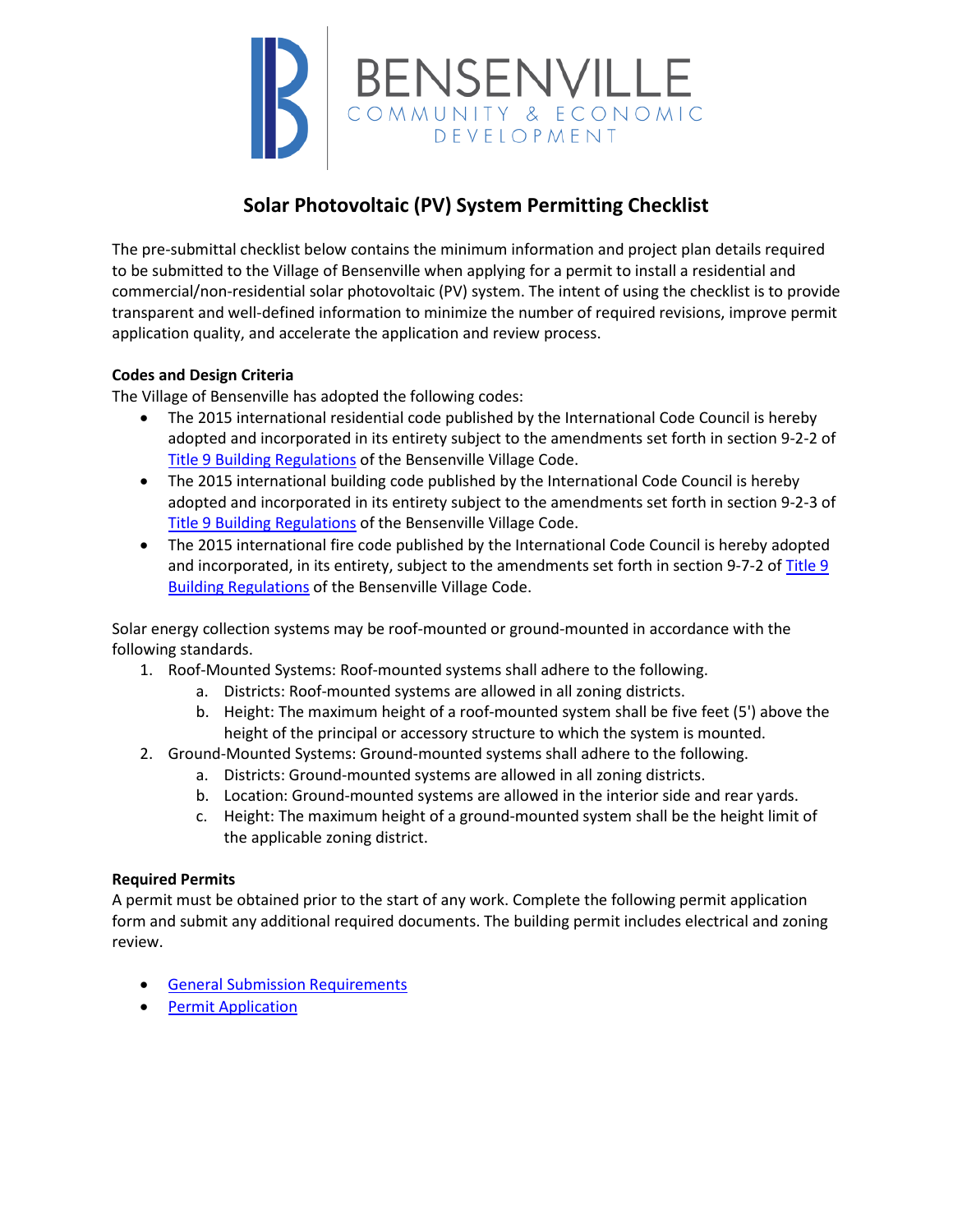

# **Solar Photovoltaic (PV) System Permitting Checklist**

The pre-submittal checklist below contains the minimum information and project plan details required to be submitted to the Village of Bensenville when applying for a permit to install a residential and commercial/non-residential solar photovoltaic (PV) system. The intent of using the checklist is to provide transparent and well-defined information to minimize the number of required revisions, improve permit application quality, and accelerate the application and review process.

# **Codes and Design Criteria**

The Village of Bensenville has adopted the following codes:

- The 2015 international residential code published by the International Code Council is hereby adopted and incorporated in its entirety subject to the amendments set forth in section 9-2-2 of [Title 9 Building Regulations](https://codelibrary.amlegal.com/codes/bensenvilleil/latest/bensenville_il/0-0-0-6143) of the Bensenville Village Code.
- The 2015 international building code published by the International Code Council is hereby adopted and incorporated in its entirety subject to the amendments set forth in section 9-2-3 of [Title 9 Building Regulations](https://codelibrary.amlegal.com/codes/bensenvilleil/latest/bensenville_il/0-0-0-6143) of the Bensenville Village Code.
- The 2015 international fire code published by the International Code Council is hereby adopted and incorporated, in its entirety, subject to the amendments set forth in section 9-7-2 of [Title 9](https://codelibrary.amlegal.com/codes/bensenvilleil/latest/bensenville_il/0-0-0-6143)  [Building Regulations](https://codelibrary.amlegal.com/codes/bensenvilleil/latest/bensenville_il/0-0-0-6143) of the Bensenville Village Code.

Solar energy collection systems may be roof-mounted or ground-mounted in accordance with the following standards.

- 1. Roof-Mounted Systems: Roof-mounted systems shall adhere to the following.
	- a. Districts: Roof-mounted systems are allowed in all zoning districts.
	- b. Height: The maximum height of a roof-mounted system shall be five feet (5') above the height of the principal or accessory structure to which the system is mounted.
- 2. Ground-Mounted Systems: Ground-mounted systems shall adhere to the following.
	- a. Districts: Ground-mounted systems are allowed in all zoning districts.
	- b. Location: Ground-mounted systems are allowed in the interior side and rear yards.
	- c. Height: The maximum height of a ground-mounted system shall be the height limit of the applicable zoning district.

# **Required Permits**

A permit must be obtained prior to the start of any work. Complete the following permit application form and submit any additional required documents. The building permit includes electrical and zoning review.

- [General Submission Requirements](https://www.bensenville.il.us/DocumentView.aspx?DID=1596)
- [Permit Application](https://www.bensenville.il.us/DocumentCenter/View/11656)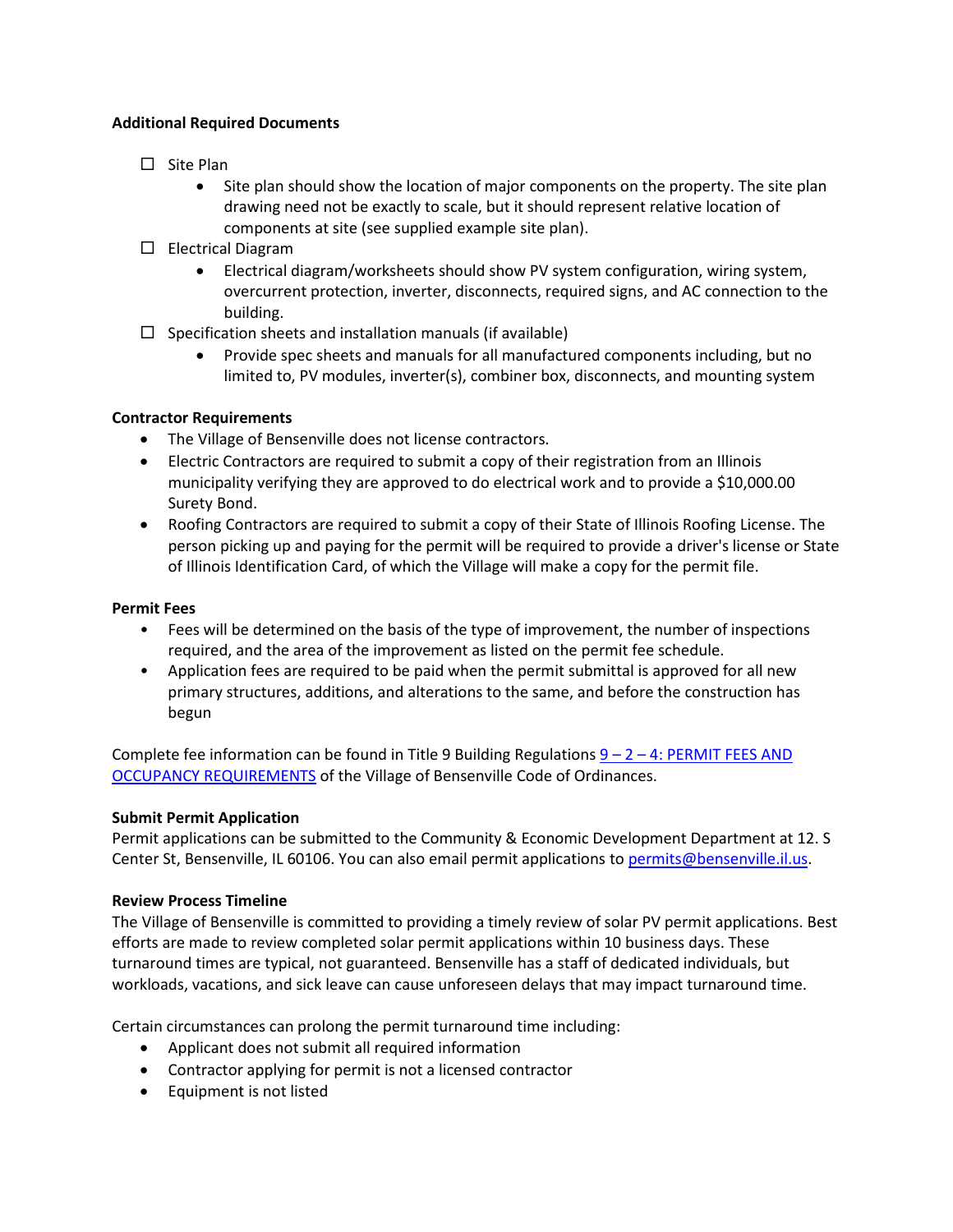### **Additional Required Documents**

- $\square$  Site Plan
	- Site plan should show the location of major components on the property. The site plan drawing need not be exactly to scale, but it should represent relative location of components at site (see supplied example site plan).
- □ Electrical Diagram
	- Electrical diagram/worksheets should show PV system configuration, wiring system, overcurrent protection, inverter, disconnects, required signs, and AC connection to the building.
- $\Box$  Specification sheets and installation manuals (if available)
	- Provide spec sheets and manuals for all manufactured components including, but no limited to, PV modules, inverter(s), combiner box, disconnects, and mounting system

# **Contractor Requirements**

- The Village of Bensenville does not license contractors.
- Electric Contractors are required to submit a copy of their registration from an Illinois municipality verifying they are approved to do electrical work and to provide a \$10,000.00 Surety Bond.
- Roofing Contractors are required to submit a copy of their State of Illinois Roofing License. The person picking up and paying for the permit will be required to provide a driver's license or State of Illinois Identification Card, of which the Village will make a copy for the permit file.

## **Permit Fees**

- Fees will be determined on the basis of the type of improvement, the number of inspections required, and the area of the improvement as listed on the permit fee schedule.
- Application fees are required to be paid when the permit submittal is approved for all new primary structures, additions, and alterations to the same, and before the construction has begun

Complete fee information can be found in Title 9 Building Regulations  $9 - 2 - 4$ : PERMIT FEES AND [OCCUPANCY REQUIREMENTS](https://codelibrary.amlegal.com/codes/bensenvilleil/latest/bensenville_il/0-0-0-6374) of the Village of Bensenville Code of Ordinances.

# **Submit Permit Application**

Permit applications can be submitted to the Community & Economic Development Department at 12. S Center St, Bensenville, IL 60106. You can also email permit applications t[o permits@bensenville.il.us.](mailto:permits@bensenville.il.us)

# **Review Process Timeline**

The Village of Bensenville is committed to providing a timely review of solar PV permit applications. Best efforts are made to review completed solar permit applications within 10 business days. These turnaround times are typical, not guaranteed. Bensenville has a staff of dedicated individuals, but workloads, vacations, and sick leave can cause unforeseen delays that may impact turnaround time.

Certain circumstances can prolong the permit turnaround time including:

- Applicant does not submit all required information
- Contractor applying for permit is not a licensed contractor
- Equipment is not listed